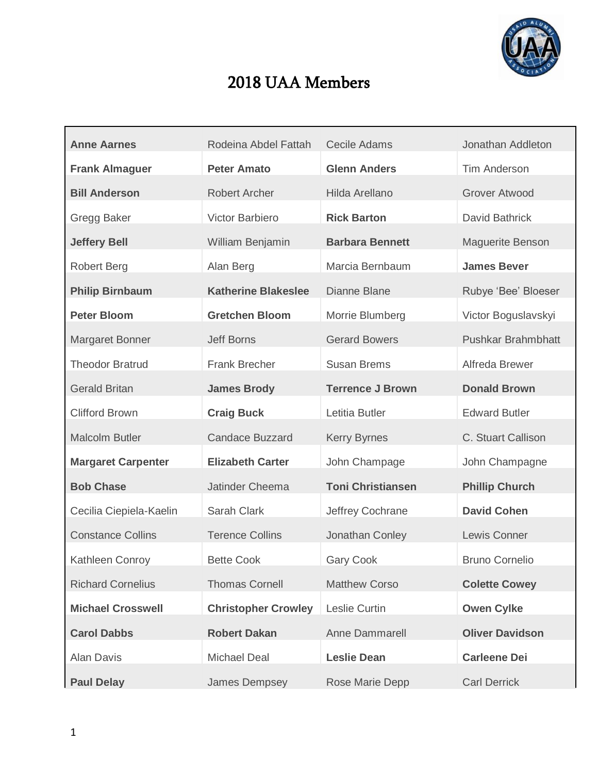

## 2018 UAA Members

| <b>Anne Aarnes</b>        | Rodeina Abdel Fattah       | <b>Cecile Adams</b>      | Jonathan Addleton         |
|---------------------------|----------------------------|--------------------------|---------------------------|
| <b>Frank Almaguer</b>     | <b>Peter Amato</b>         | <b>Glenn Anders</b>      | <b>Tim Anderson</b>       |
| <b>Bill Anderson</b>      | <b>Robert Archer</b>       | Hilda Arellano           | <b>Grover Atwood</b>      |
| <b>Gregg Baker</b>        | Victor Barbiero            | <b>Rick Barton</b>       | David Bathrick            |
| <b>Jeffery Bell</b>       | William Benjamin           | <b>Barbara Bennett</b>   | <b>Maguerite Benson</b>   |
| <b>Robert Berg</b>        | Alan Berg                  | Marcia Bernbaum          | <b>James Bever</b>        |
| <b>Philip Birnbaum</b>    | <b>Katherine Blakeslee</b> | Dianne Blane             | Rubye 'Bee' Bloeser       |
| <b>Peter Bloom</b>        | <b>Gretchen Bloom</b>      | Morrie Blumberg          | Victor Boguslavskyi       |
| <b>Margaret Bonner</b>    | <b>Jeff Borns</b>          | <b>Gerard Bowers</b>     | <b>Pushkar Brahmbhatt</b> |
| <b>Theodor Bratrud</b>    | <b>Frank Brecher</b>       | <b>Susan Brems</b>       | Alfreda Brewer            |
| <b>Gerald Britan</b>      | <b>James Brody</b>         | <b>Terrence J Brown</b>  | <b>Donald Brown</b>       |
| <b>Clifford Brown</b>     | <b>Craig Buck</b>          | Letitia Butler           | <b>Edward Butler</b>      |
| <b>Malcolm Butler</b>     | <b>Candace Buzzard</b>     | <b>Kerry Byrnes</b>      | C. Stuart Callison        |
| <b>Margaret Carpenter</b> | <b>Elizabeth Carter</b>    | John Champage            | John Champagne            |
| <b>Bob Chase</b>          | Jatinder Cheema            | <b>Toni Christiansen</b> | <b>Phillip Church</b>     |
| Cecilia Ciepiela-Kaelin   | Sarah Clark                | Jeffrey Cochrane         | <b>David Cohen</b>        |
| <b>Constance Collins</b>  | <b>Terence Collins</b>     | Jonathan Conley          | Lewis Conner              |
| <b>Kathleen Conroy</b>    | <b>Bette Cook</b>          | <b>Gary Cook</b>         | <b>Bruno Cornelio</b>     |
| <b>Richard Cornelius</b>  | <b>Thomas Cornell</b>      | <b>Matthew Corso</b>     | <b>Colette Cowey</b>      |
| <b>Michael Crosswell</b>  | <b>Christopher Crowley</b> | Leslie Curtin            | <b>Owen Cylke</b>         |
| <b>Carol Dabbs</b>        | <b>Robert Dakan</b>        | <b>Anne Dammarell</b>    | <b>Oliver Davidson</b>    |
| <b>Alan Davis</b>         | <b>Michael Deal</b>        | <b>Leslie Dean</b>       | <b>Carleene Dei</b>       |
| <b>Paul Delay</b>         | James Dempsey              | Rose Marie Depp          | <b>Carl Derrick</b>       |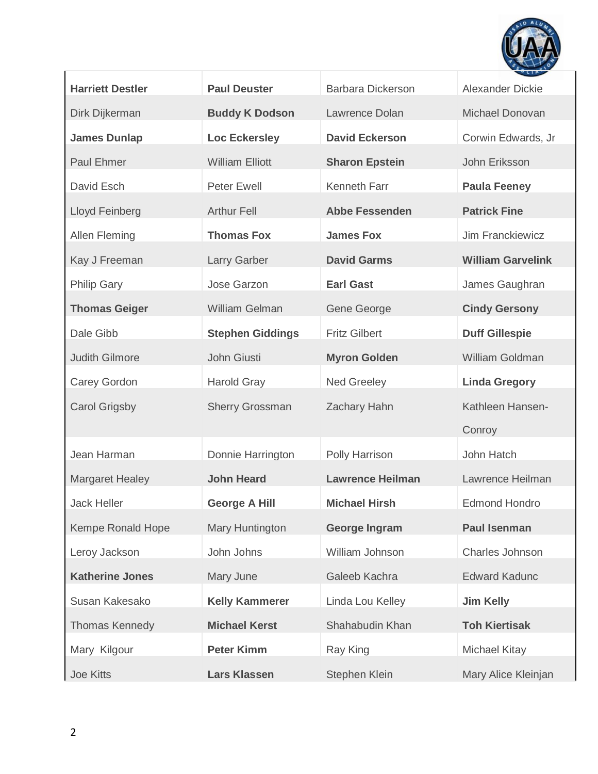

| <b>Harriett Destler</b> | <b>Paul Deuster</b>     | <b>Barbara Dickerson</b> | <b>Alexander Dickie</b>  |
|-------------------------|-------------------------|--------------------------|--------------------------|
| Dirk Dijkerman          | <b>Buddy K Dodson</b>   | Lawrence Dolan           | Michael Donovan          |
| <b>James Dunlap</b>     | <b>Loc Eckersley</b>    | <b>David Eckerson</b>    | Corwin Edwards, Jr       |
| Paul Ehmer              | <b>William Elliott</b>  | <b>Sharon Epstein</b>    | John Eriksson            |
| David Esch              | <b>Peter Ewell</b>      | Kenneth Farr             | <b>Paula Feeney</b>      |
| Lloyd Feinberg          | <b>Arthur Fell</b>      | <b>Abbe Fessenden</b>    | <b>Patrick Fine</b>      |
| <b>Allen Fleming</b>    | <b>Thomas Fox</b>       | <b>James Fox</b>         | Jim Franckiewicz         |
| Kay J Freeman           | <b>Larry Garber</b>     | <b>David Garms</b>       | <b>William Garvelink</b> |
| <b>Philip Gary</b>      | Jose Garzon             | <b>Earl Gast</b>         | James Gaughran           |
| <b>Thomas Geiger</b>    | <b>William Gelman</b>   | Gene George              | <b>Cindy Gersony</b>     |
| Dale Gibb               | <b>Stephen Giddings</b> | <b>Fritz Gilbert</b>     | <b>Duff Gillespie</b>    |
| <b>Judith Gilmore</b>   | John Giusti             | <b>Myron Golden</b>      | William Goldman          |
| <b>Carey Gordon</b>     | <b>Harold Gray</b>      | <b>Ned Greeley</b>       | <b>Linda Gregory</b>     |
| <b>Carol Grigsby</b>    | <b>Sherry Grossman</b>  | <b>Zachary Hahn</b>      | Kathleen Hansen-         |
|                         |                         |                          | Conroy                   |
| Jean Harman             | Donnie Harrington       | Polly Harrison           | John Hatch               |
| <b>Margaret Healey</b>  | <b>John Heard</b>       | <b>Lawrence Heilman</b>  | Lawrence Heilman         |
| <b>Jack Heller</b>      | <b>George A Hill</b>    | <b>Michael Hirsh</b>     | <b>Edmond Hondro</b>     |
| Kempe Ronald Hope       | Mary Huntington         | <b>George Ingram</b>     | <b>Paul Isenman</b>      |
| Leroy Jackson           | John Johns              | William Johnson          | Charles Johnson          |
| <b>Katherine Jones</b>  | Mary June               | Galeeb Kachra            | <b>Edward Kadunc</b>     |
| Susan Kakesako          | <b>Kelly Kammerer</b>   | Linda Lou Kelley         | <b>Jim Kelly</b>         |
| <b>Thomas Kennedy</b>   | <b>Michael Kerst</b>    | Shahabudin Khan          | <b>Toh Kiertisak</b>     |
| Mary Kilgour            | <b>Peter Kimm</b>       | Ray King                 | <b>Michael Kitay</b>     |
| <b>Joe Kitts</b>        | <b>Lars Klassen</b>     | Stephen Klein            | Mary Alice Kleinjan      |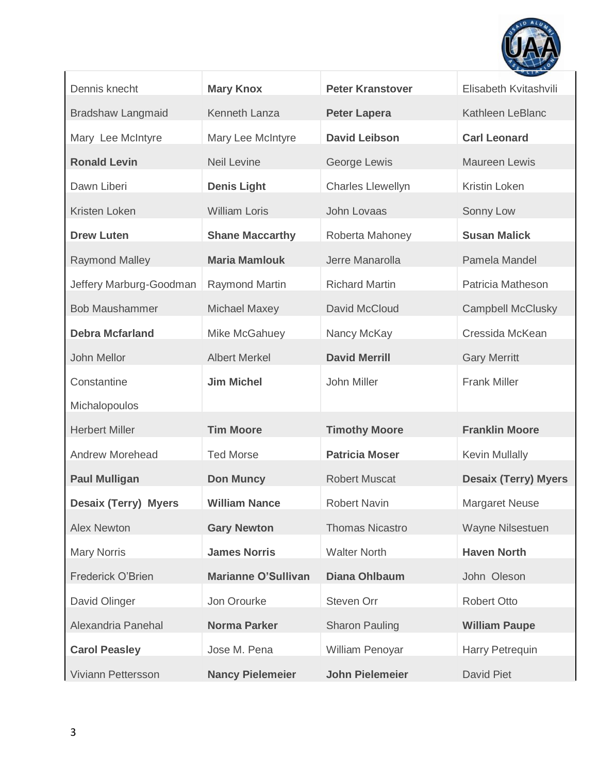

| Dennis knecht               | <b>Mary Knox</b>           | <b>Peter Kranstover</b>  | Elisabeth Kvitashvili       |
|-----------------------------|----------------------------|--------------------------|-----------------------------|
| <b>Bradshaw Langmaid</b>    | Kenneth Lanza              | <b>Peter Lapera</b>      | Kathleen LeBlanc            |
| Mary Lee McIntyre           | Mary Lee McIntyre          | <b>David Leibson</b>     | <b>Carl Leonard</b>         |
| <b>Ronald Levin</b>         | <b>Neil Levine</b>         | George Lewis             | <b>Maureen Lewis</b>        |
| Dawn Liberi                 | <b>Denis Light</b>         | <b>Charles Llewellyn</b> | Kristin Loken               |
| Kristen Loken               | <b>William Loris</b>       | John Lovaas              | Sonny Low                   |
| <b>Drew Luten</b>           | <b>Shane Maccarthy</b>     | Roberta Mahoney          | <b>Susan Malick</b>         |
| <b>Raymond Malley</b>       | <b>Maria Mamlouk</b>       | Jerre Manarolla          | Pamela Mandel               |
| Jeffery Marburg-Goodman     | <b>Raymond Martin</b>      | <b>Richard Martin</b>    | Patricia Matheson           |
| <b>Bob Maushammer</b>       | <b>Michael Maxey</b>       | David McCloud            | <b>Campbell McClusky</b>    |
| <b>Debra Mcfarland</b>      | Mike McGahuey              | Nancy McKay              | Cressida McKean             |
| John Mellor                 | <b>Albert Merkel</b>       | <b>David Merrill</b>     | <b>Gary Merritt</b>         |
| Constantine                 | <b>Jim Michel</b>          | John Miller              | <b>Frank Miller</b>         |
| Michalopoulos               |                            |                          |                             |
| <b>Herbert Miller</b>       | <b>Tim Moore</b>           | <b>Timothy Moore</b>     | <b>Franklin Moore</b>       |
| <b>Andrew Morehead</b>      | <b>Ted Morse</b>           | <b>Patricia Moser</b>    | <b>Kevin Mullally</b>       |
| <b>Paul Mulligan</b>        | <b>Don Muncy</b>           | <b>Robert Muscat</b>     | <b>Desaix (Terry) Myers</b> |
| <b>Desaix (Terry) Myers</b> | <b>William Nance</b>       | <b>Robert Navin</b>      | <b>Margaret Neuse</b>       |
| <b>Alex Newton</b>          | <b>Gary Newton</b>         | <b>Thomas Nicastro</b>   | Wayne Nilsestuen            |
| <b>Mary Norris</b>          | <b>James Norris</b>        | <b>Walter North</b>      | <b>Haven North</b>          |
| Frederick O'Brien           | <b>Marianne O'Sullivan</b> | <b>Diana Ohlbaum</b>     | John Oleson                 |
| David Olinger               | Jon Orourke                | Steven Orr               | <b>Robert Otto</b>          |
| Alexandria Panehal          | <b>Norma Parker</b>        | <b>Sharon Pauling</b>    | <b>William Paupe</b>        |
| <b>Carol Peasley</b>        | Jose M. Pena               | William Penoyar          | Harry Petrequin             |
| Viviann Pettersson          | <b>Nancy Pielemeier</b>    | <b>John Pielemeier</b>   | <b>David Piet</b>           |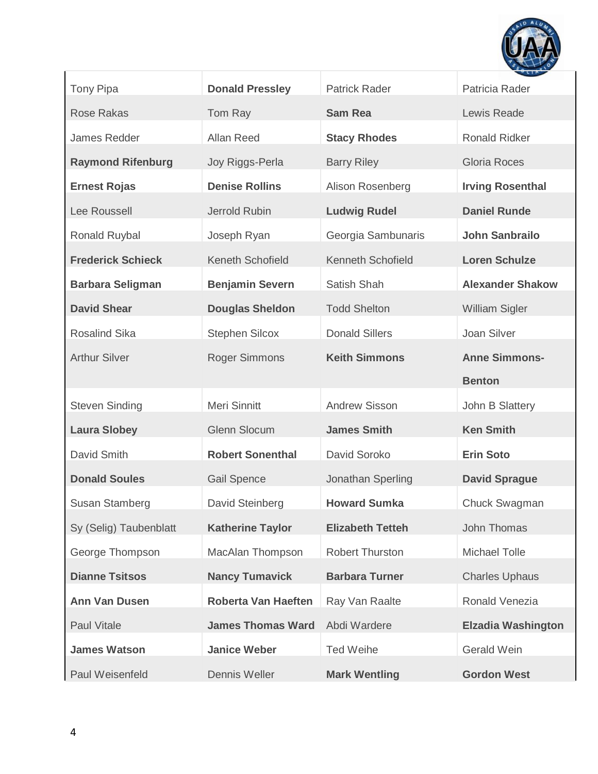

| <b>Tony Pipa</b>         | <b>Donald Pressley</b>     | <b>Patrick Rader</b>     | $\mathbf{r}$<br>Patricia Rader |
|--------------------------|----------------------------|--------------------------|--------------------------------|
| <b>Rose Rakas</b>        | Tom Ray                    | <b>Sam Rea</b>           | Lewis Reade                    |
| James Redder             | Allan Reed                 | <b>Stacy Rhodes</b>      | <b>Ronald Ridker</b>           |
| <b>Raymond Rifenburg</b> | Joy Riggs-Perla            | <b>Barry Riley</b>       | Gloria Roces                   |
| <b>Ernest Rojas</b>      | <b>Denise Rollins</b>      | Alison Rosenberg         | <b>Irving Rosenthal</b>        |
| Lee Roussell             | Jerrold Rubin              | <b>Ludwig Rudel</b>      | <b>Daniel Runde</b>            |
| Ronald Ruybal            | Joseph Ryan                | Georgia Sambunaris       | <b>John Sanbrailo</b>          |
| <b>Frederick Schieck</b> | <b>Keneth Schofield</b>    | <b>Kenneth Schofield</b> | <b>Loren Schulze</b>           |
| <b>Barbara Seligman</b>  | <b>Benjamin Severn</b>     | Satish Shah              | <b>Alexander Shakow</b>        |
| <b>David Shear</b>       | <b>Douglas Sheldon</b>     | <b>Todd Shelton</b>      | William Sigler                 |
| <b>Rosalind Sika</b>     | <b>Stephen Silcox</b>      | <b>Donald Sillers</b>    | Joan Silver                    |
| <b>Arthur Silver</b>     | <b>Roger Simmons</b>       | <b>Keith Simmons</b>     | <b>Anne Simmons-</b>           |
|                          |                            |                          | <b>Benton</b>                  |
| <b>Steven Sinding</b>    | Meri Sinnitt               | <b>Andrew Sisson</b>     | John B Slattery                |
| <b>Laura Slobey</b>      | <b>Glenn Slocum</b>        | <b>James Smith</b>       | <b>Ken Smith</b>               |
| David Smith              | <b>Robert Sonenthal</b>    | David Soroko             | <b>Erin Soto</b>               |
| <b>Donald Soules</b>     | <b>Gail Spence</b>         | Jonathan Sperling        | <b>David Sprague</b>           |
| <b>Susan Stamberg</b>    | David Steinberg            | <b>Howard Sumka</b>      | Chuck Swagman                  |
| Sy (Selig) Taubenblatt   | <b>Katherine Taylor</b>    | <b>Elizabeth Tetteh</b>  | John Thomas                    |
| George Thompson          | MacAlan Thompson           | <b>Robert Thurston</b>   | <b>Michael Tolle</b>           |
| <b>Dianne Tsitsos</b>    | <b>Nancy Tumavick</b>      | <b>Barbara Turner</b>    | <b>Charles Uphaus</b>          |
| <b>Ann Van Dusen</b>     | <b>Roberta Van Haeften</b> | Ray Van Raalte           | Ronald Venezia                 |
| <b>Paul Vitale</b>       | <b>James Thomas Ward</b>   | Abdi Wardere             | <b>Elzadia Washington</b>      |
| <b>James Watson</b>      | <b>Janice Weber</b>        | <b>Ted Weihe</b>         | Gerald Wein                    |
| Paul Weisenfeld          | Dennis Weller              | <b>Mark Wentling</b>     | <b>Gordon West</b>             |